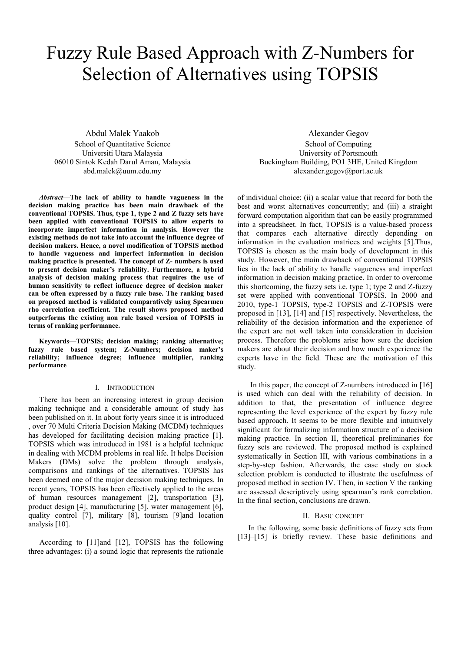# Fuzzy Rule Based Approach with Z-Numbers for Selection of Alternatives using TOPSIS

Abdul Malek Yaakob School of Quantitative Science Universiti Utara Malaysia 06010 Sintok Kedah Darul Aman, Malaysia abd.malek@uum.edu.my

*Abstract***—The lack of ability to handle vagueness in the decision making practice has been main drawback of the conventional TOPSIS. Thus, type 1, type 2 and Z fuzzy sets have been applied with conventional TOPSIS to allow experts to incorporate imperfect information in analysis. However the existing methods do not take into account the influence degree of decision makers. Hence, a novel modification of TOPSIS method to handle vagueness and imperfect information in decision making practice is presented. The concept of Z- numbers is used to present decision maker's reliability. Furthermore, a hybrid analysis of decision making process that requires the use of human sensitivity to reflect influence degree of decision maker can be often expressed by a fuzzy rule base. The ranking based on proposed method is validated comparatively using Spearmen rho correlation coefficient. The result shows proposed method outperforms the existing non rule based version of TOPSIS in terms of ranking performance.** 

**Keywords—TOPSIS; decision making; ranking alternative; fuzzy rule based system; Z-Numbers; decision maker's reliability; influence degree; influence multiplier, ranking performance** 

# I. INTRODUCTION

There has been an increasing interest in group decision making technique and a considerable amount of study has been published on it. In about forty years since it is introduced , over 70 Multi Criteria Decision Making (MCDM) techniques has developed for facilitating decision making practice [1]. TOPSIS which was introduced in 1981 is a helpful technique in dealing with MCDM problems in real life. It helps Decision Makers (DMs) solve the problem through analysis, comparisons and rankings of the alternatives. TOPSIS has been deemed one of the major decision making techniques. In recent years, TOPSIS has been effectively applied to the areas of human resources management [2], transportation [3], product design [4], manufacturing [5], water management [6], quality control [7], military [8], tourism [9]and location analysis [10].

According to [11]and [12], TOPSIS has the following three advantages: (i) a sound logic that represents the rationale Alexander Gegov

School of Computing University of Portsmouth Buckingham Building, PO1 3HE, United Kingdom alexander.gegov@port.ac.uk

of individual choice; (ii) a scalar value that record for both the best and worst alternatives concurrently; and (iii) a straight forward computation algorithm that can be easily programmed into a spreadsheet. In fact, TOPSIS is a value-based process that compares each alternative directly depending on information in the evaluation matrices and weights [5].Thus, TOPSIS is chosen as the main body of development in this study. However, the main drawback of conventional TOPSIS lies in the lack of ability to handle vagueness and imperfect information in decision making practice. In order to overcome this shortcoming, the fuzzy sets i.e. type 1; type 2 and Z-fuzzy set were applied with conventional TOPSIS. In 2000 and 2010, type-1 TOPSIS, type-2 TOPSIS and Z-TOPSIS were proposed in [13], [14] and [15] respectively. Nevertheless, the reliability of the decision information and the experience of the expert are not well taken into consideration in decision process. Therefore the problems arise how sure the decision makers are about their decision and how much experience the experts have in the field. These are the motivation of this study.

 In this paper, the concept of Z-numbers introduced in [16] is used which can deal with the reliability of decision. In addition to that, the presentation of influence degree representing the level experience of the expert by fuzzy rule based approach. It seems to be more flexible and intuitively significant for formalizing information structure of a decision making practice. In section II, theoretical preliminaries for fuzzy sets are reviewed. The proposed method is explained systematically in Section III, with various combinations in a step-by-step fashion. Afterwards, the case study on stock selection problem is conducted to illustrate the usefulness of proposed method in section IV. Then, in section V the ranking are assessed descriptively using spearman's rank correlation. In the final section, conclusions are drawn.

## II. BASIC CONCEPT

In the following, some basic definitions of fuzzy sets from [13]–[15] is briefly review. These basic definitions and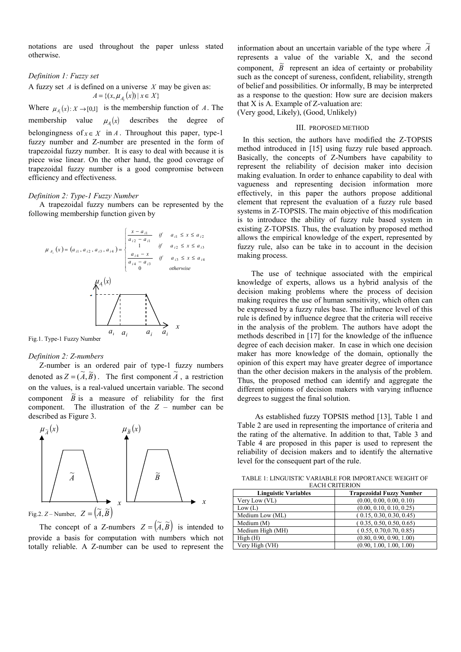notations are used throughout the paper unless stated otherwise.

*Definition 1: Fuzzy set* 

A fuzzy set *A* is defined on a universe *X* may be given as:  $A = \{(x, \mu_{A_i}(x)) \mid x \in X\}$ 

Where  $\mu_A(x): X \to [0,1]$  is the membership function of *A*. The membership value  $\mu_A(x)$  describes the degree of belongingness of  $x \in X$  in *A*. Throughout this paper, type-1 fuzzy number and Z-number are presented in the form of trapezoidal fuzzy number. It is easy to deal with because it is piece wise linear. On the other hand, the good coverage of trapezoidal fuzzy number is a good compromise between efficiency and effectiveness.

# *Definition 2: Type-1 Fuzzy Number*

A trapezoidal fuzzy numbers can be represented by the following membership function given by



# Fig.1. Type-1 Fuzzy Number

# *Definition 2: Z-numbers*

Z-number is an ordered pair of type-1 fuzzy numbers denoted as  $Z = (\tilde{A}, \tilde{B})$ . The first component  $\tilde{A}$ , a restriction on the values, is a real-valued uncertain variable. The second component  $\overline{B}$  is a measure of reliability for the first component. The illustration of the *Z* – number can be described as Figure 3.



The concept of a Z-numbers  $Z = (\widetilde{A}, \widetilde{B})$  is intended to provide a basis for computation with numbers which not totally reliable. A Z-number can be used to represent the

information about an uncertain variable of the type where  $\tilde{A}$ represents a value of the variable X, and the second component,  $\tilde{B}$  represent an idea of certainty or probability such as the concept of sureness, confident, reliability, strength of belief and possibilities. Or informally, B may be interpreted as a response to the question: How sure are decision makers that X is A. Example of Z-valuation are:

(Very good, Likely), (Good, Unlikely)

#### III. PROPOSED METHOD

In this section, the authors have modified the Z-TOPSIS method introduced in [15] using fuzzy rule based approach. Basically, the concepts of Z-Numbers have capability to represent the reliability of decision maker into decision making evaluation. In order to enhance capability to deal with vagueness and representing decision information more effectively, in this paper the authors propose additional element that represent the evaluation of a fuzzy rule based systems in Z-TOPSIS. The main objective of this modification is to introduce the ability of fuzzy rule based system in existing Z-TOPSIS. Thus, the evaluation by proposed method allows the empirical knowledge of the expert, represented by fuzzy rule, also can be take in to account in the decision making process.

The use of technique associated with the empirical knowledge of experts, allows us a hybrid analysis of the decision making problems where the process of decision making requires the use of human sensitivity, which often can be expressed by a fuzzy rules base. The influence level of this rule is defined by influence degree that the criteria will receive in the analysis of the problem. The authors have adopt the methods described in [17] for the knowledge of the influence degree of each decision maker. In case in which one decision maker has more knowledge of the domain, optionally the opinion of this expert may have greater degree of importance than the other decision makers in the analysis of the problem. Thus, the proposed method can identify and aggregate the different opinions of decision makers with varying influence degrees to suggest the final solution.

 As established fuzzy TOPSIS method [13], Table 1 and Table 2 are used in representing the importance of criteria and the rating of the alternative. In addition to that, Table 3 and Table 4 are proposed in this paper is used to represent the reliability of decision makers and to identify the alternative level for the consequent part of the rule.

| LAUITUMILINUI (             |                                 |  |  |  |  |  |  |  |
|-----------------------------|---------------------------------|--|--|--|--|--|--|--|
| <b>Linguistic Variables</b> | <b>Trapezoidal Fuzzy Number</b> |  |  |  |  |  |  |  |
| Very Low (VL)               | (0.00, 0.00, 0.00, 0.10)        |  |  |  |  |  |  |  |
| Low (L)                     | (0.00, 0.10, 0.10, 0.25)        |  |  |  |  |  |  |  |
| Medium Low (ML)             | (0.15, 0.30, 0.30, 0.45)        |  |  |  |  |  |  |  |
| Medium (M)                  | (0.35, 0.50, 0.50, 0.65)        |  |  |  |  |  |  |  |
| Medium High (MH)            | (0.55, 0.70, 0.70, 0.85)        |  |  |  |  |  |  |  |
| High(H)                     | (0.80, 0.90, 0.90, 1.00)        |  |  |  |  |  |  |  |
| Very High (VH)              | (0.90, 1.00, 1.00, 1.00)        |  |  |  |  |  |  |  |
|                             |                                 |  |  |  |  |  |  |  |

TABLE 1: LINGUISTIC VARIABLE FOR IMPORTANCE WEIGHT OF EACH CRITERION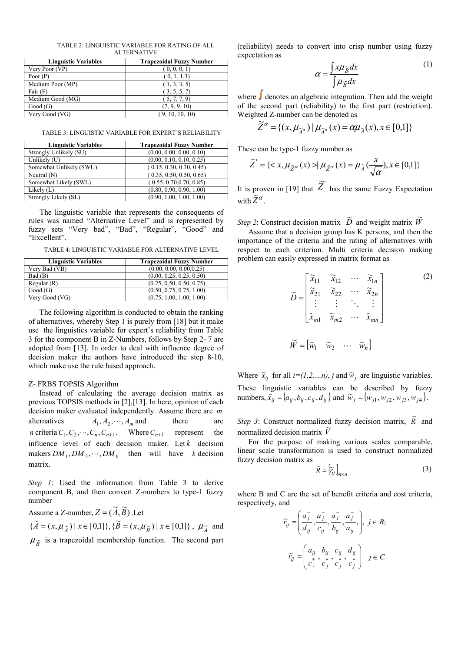| TABLE 2: LINGUISTIC VARIABLE FOR RATING OF ALL |
|------------------------------------------------|
| <b>ALTERNATIVE</b>                             |

| <b>Linguistic Variables</b> | <b>Trapezoidal Fuzzy Number</b> |
|-----------------------------|---------------------------------|
| Very Poor (VP)              | (0, 0, 0, 1)                    |
| Poor $(P)$                  | (0, 1, 1, 3)                    |
| Medium Poor (MP)            | (1, 3, 3, 5)                    |
| Fair $(F)$                  | (3, 5, 5, 7)                    |
| Medium Good (MG)            | (5, 7, 7, 9)                    |
| Good(G)                     | (7, 9, 9, 10)                   |
| Very Good (VG)              | (9, 10, 10, 10)                 |

TABLE 3: LINGUISTIC VARIABLE FOR EXPERT'S RELIABILITY

| <b>Linguistic Variables</b> | <b>Trapezoidal Fuzzy Number</b> |
|-----------------------------|---------------------------------|
| Strongly Unlikely (SU)      | (0.00, 0.00, 0.00, 0.10)        |
| Unlikely $(U)$              | (0.00, 0.10, 0.10, 0.25)        |
| Somewhat Unlikely (SWU)     | (0.15, 0.30, 0.30, 0.45)        |
| Neutral $(N)$               | (0.35, 0.50, 0.50, 0.65)        |
| Somewhat Likely (SWL)       | (0.55, 0.70, 0.70, 0.85)        |
| Likely $(L)$                | (0.80, 0.90, 0.90, 1.00)        |
| Strongly Likely (SL)        | (0.90, 1.00, 1.00, 1.00)        |

The linguistic variable that represents the consequents of rules was named "Alternative Level" and is represented by fuzzy sets "Very bad", "Bad", "Regular", "Good" and "Excellent".

TABLE 4: LINGUISTIC VARIABLE FOR ALTERNATIVE LEVEL

| <b>Linguistic Variables</b> | <b>Trapezoidal Fuzzy Number</b> |
|-----------------------------|---------------------------------|
| Very Bad (VB)               | (0.00, 0.00, 0.00, 0.25)        |
| Bad(B)                      | (0.00, 0.25, 0.25, 0.50)        |
| Regular(R)                  | (0.25, 0.50, 0.50, 0.75)        |
| Good(G)                     | (0.50, 0.75, 0.75, 1.00)        |
| Very Good (VG)              | (0.75, 1.00, 1.00, 1.00)        |

The following algorithm is conducted to obtain the ranking of alternatives, whereby Step 1 is purely from [18] but it make use the linguistics variable for expert's reliability from Table 3 for the component B in Z-Numbers, follows by Step 2- 7 are adopted from [13]. In order to deal with influence degree of decision maker the authors have introduced the step 8-10, which make use the rule based approach.

## Z- FRBS TOPSIS Algorithm

Instead of calculating the average decision matrix as previous TOPSIS methods in [2],[13]. In here, opinion of each decision maker evaluated independently. Assume there are *m* alternatives  $A_1, A_2, \cdots, A_m$  and there are *n* criteria  $C_1, C_2, \dots, C_n, C_{n+1}$ . Where  $C_{n+1}$  represent the influence level of each decision maker. Let  $k$  decision makers  $DM_1, DM_2, \dots, DM_k$  then will have *k* decision matrix.

*Step 1*: Used the information from Table 3 to derive component B, and then convert Z-numbers to type-1 fuzzy number

Assume a Z-number,  $Z = (\widetilde{A}, \widetilde{B})$ . Let  $\{\widetilde{A} = (x, \mu_{\widetilde{A}}) | x \in [0,1]\}, \{\widetilde{B} = (x, \mu_{\widetilde{B}}) | x \in [0,1]\}, \mu_{\widetilde{A}}$  and  $\mu_{\widetilde{B}}$  is a trapezoidal membership function. The second part

(reliability) needs to convert into crisp number using fuzzy expectation as

$$
\alpha = \frac{\int x \mu_{\widetilde{B}} dx}{\int \mu_{\widetilde{B}} dx}
$$
 (1)

where  $\int$  denotes an algebraic integration. Then add the weight of the second part (reliability) to the first part (restriction). Weighted Z-number can be denoted as

$$
\widetilde{Z}^{\alpha} = \{ (x, \mu_{\widetilde{A}^{\alpha}}) \mid \mu_{\widetilde{A}^{\alpha}}(x) = \alpha \mu_{\widetilde{A}}(x), x \in [0,1] \}
$$

These can be type-1 fuzzy number as

$$
\widetilde{Z}^{\prime} = \{ \langle x, \mu_{\widetilde{Z}^{\alpha}}(x) \rangle | \mu_{\widetilde{Z}^{\alpha}}(x) = \mu_{\widetilde{A}}(\frac{x}{\sqrt{\alpha}}), x \in [0,1] \}
$$

It is proven in [19] that  $\widetilde{Z}'$  has the same Fuzzy Expectation with  $\tilde{Z}^{\alpha}$ .

*Step 2*: Construct decision matrix  $\widetilde{D}$  and weight matrix  $\widetilde{W}$ 

Assume that a decision group has K persons, and then the importance of the criteria and the rating of alternatives with respect to each criterion. Multi criteria decision making problem can easily expressed in matrix format as

$$
\widetilde{D} = \begin{bmatrix}\n\widetilde{x}_{11} & \widetilde{x}_{12} & \cdots & \widetilde{x}_{1n} \\
\widetilde{x}_{21} & \widetilde{x}_{22} & \cdots & \widetilde{x}_{2n} \\
\vdots & \vdots & \ddots & \vdots \\
\widetilde{x}_{m1} & \widetilde{x}_{m2} & \cdots & \widetilde{x}_{mn}\n\end{bmatrix}
$$
\n
$$
\widetilde{W} = \begin{bmatrix}\n\widetilde{w}_1 & \widetilde{w}_2 & \cdots & \widetilde{w}_n\n\end{bmatrix}
$$
\n(2)

Where  $\tilde{x}_{ij}$  for all  $i=(1,2,...n)$ , *j* and  $\tilde{w}_j$  are linguistic variables. These linguistic variables can be described by fuzzy numbers,  $\tilde{x}_{ij} = (a_{ij}, b_{ij}, c_{ij}, d_{ij})$  and  $\tilde{w}_j = (w_{j1}, w_{j2}, w_{j3}, w_{j4})$ .

*Step 3*: Construct normalized fuzzy decision matrix,  $\tilde{R}$  and normalized decision matrix  $\tilde{V}$ 

For the purpose of making various scales comparable, linear scale transformation is used to construct normalized fuzzy decision matrix as

$$
\widetilde{R} = \left[ \widetilde{r}_{ij} \right]_{m \times n} \tag{3}
$$

where B and C are the set of benefit criteria and cost criteria, respectively, and

$$
\widetilde{r}_{ij} = \left(\frac{a_j^-, a_j^-, a_j^-, a_j^-}{d_{ij}^-, \overline{c}_{ij}^-, \overline{b}_{ij}^-, \overline{a}_{ij}^-, \right), \ j \in B;
$$
\n
$$
\widetilde{r}_{ij} = \left(\frac{a_{ij}}{c_j^+, c_j^+, c_j^+, \overline{c}_{ij}^+, \overline{c}_{ij}^+, \overline{c}_{ij}^+, \overline{c}_{ij}^+, \overline{c}_{ij}^+, \overline{c}_{ij}^+, \overline{c}_{ij}^+, \overline{c}_{ij}^+, \overline{c}_{ij}^+, \overline{c}_{ij}^+, \overline{c}_{ij}^+, \overline{c}_{ij}^+, \overline{c}_{ij}^+, \overline{c}_{ij}^+, \overline{c}_{ij}^+, \overline{c}_{ij}^+, \overline{c}_{ij}^+, \overline{c}_{ij}^+, \overline{c}_{ij}^+, \overline{c}_{ij}^+, \overline{c}_{ij}^+, \overline{c}_{ij}^+, \overline{c}_{ij}^+, \overline{c}_{ij}^+, \overline{c}_{ij}^+, \overline{c}_{ij}^+, \overline{c}_{ij}^+, \overline{c}_{ij}^+, \overline{c}_{ij}^+, \overline{c}_{ij}^+, \overline{c}_{ij}^+, \overline{c}_{ij}^+, \overline{c}_{ij}^+, \overline{c}_{ij}^+, \overline{c}_{ij}^+, \overline{c}_{ij}^+, \overline{c}_{ij}^+, \overline{c}_{ij}^+, \overline{c}_{ij}^+, \overline{c}_{ij}^+, \overline{c}_{ij}^+, \overline{c}_{ij}^+, \overline{c}_{ij}^+, \overline{c}_{ij}^+, \overline{c}_{ij}^+, \overline{c}_{ij}^+, \overline{c}_{ij}^+, \overline{c}_{ij}^+, \overline{c}_{ij}^+, \overline{c}_{ij}^+, \overline{c}_{ij}^+, \overline{c}_{ij}^+, \overline{c}_{ij}^+, \overline{c}_{ij}^+, \overline{c}_{ij}^+, \overline{c}_{ij}^+, \overline{c}_{ij}^+, \overline{c}_{ij}^+, \overline{c}_{ij}^+, \overline{c}_{ij}^+, \overline{c}_{ij}^+, \overline{c}_{ij}^+, \overline{c}_{ij}^+, \overline{c}_{ij}^+, \overline{
$$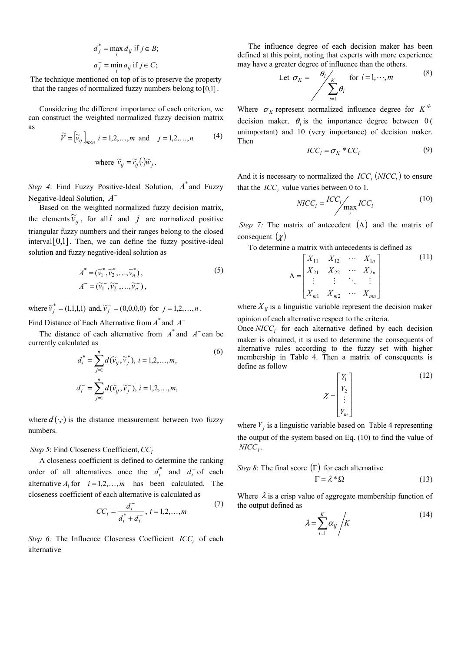$$
d_j^* = \max_i d_{ij} \text{ if } j \in B; \\
 a_j^- = \min_i a_{ij} \text{ if } j \in C;
$$

The technique mentioned on top of is to preserve the property that the ranges of normalized fuzzy numbers belong to  $[0,1]$ .

Considering the different importance of each criterion, we can construct the weighted normalized fuzzy decision matrix as

$$
\widetilde{V} = \left[\widetilde{v}_{ij}\right]_{m \times n} i = 1, 2, ..., m \text{ and } j = 1, 2, ..., n
$$
\n(4)

\nwhere  $\widetilde{v}_{ij} = \widetilde{r}_{ij}(\cdot)\widetilde{w}_{j}$ .

*Step 4*: Find Fuzzy Positive-Ideal Solution,  $A^*$  and Fuzzy Negative-Ideal Solution, *A*<sup>†</sup>

Based on the weighted normalized fuzzy decision matrix, the elements  $\widetilde{v}_{ij}$ , for all *i* and *j* are normalized positive triangular fuzzy numbers and their ranges belong to the closed  $interval[0,1]$ . Then, we can define the fuzzy positive-ideal solution and fuzzy negative-ideal solution as

$$
A^* = (\widetilde{v}_1^*, \widetilde{v}_2^*, \dots, \widetilde{v}_n^*),
$$
  
\n
$$
A^- = (\widetilde{v}_1^-, \widetilde{v}_2^-, \dots, \widetilde{v}_n^-),
$$
\n(5)

where  $\widetilde{v}_j^* = (1,1,1,1)$  and,  $\widetilde{v}_j^* = (0,0,0,0)$  for  $j = 1,2,...,n$ .

Find Distance of Each Alternative from  $A^*$  and  $A^-$ 

The distance of each alternative from  $A^*$  and  $A^-$  can be currently calculated as

$$
d_i^* = \sum_{j=1}^n d(\widetilde{v}_{ij}, \widetilde{v}_j^*), \ i = 1, 2, ..., m,
$$
  

$$
d_i^- = \sum_{j=1}^n d(\widetilde{v}_{ij}, \widetilde{v}_j^-), \ i = 1, 2, ..., m,
$$
 (6)

where  $d(\cdot, \cdot)$  is the distance measurement between two fuzzy numbers.

 *Step 5*: Find Closeness Coefficient,*CCi*

A closeness coefficient is defined to determine the ranking order of all alternatives once the  $d_i^*$  and  $d_i^-$  of each alternative  $A_i$  for  $i = 1, 2, ..., m$  has been calculated. The closeness coefficient of each alternative is calculated as

$$
CC_i = \frac{d_i^-}{d_i^* + d_i^-}, i = 1, 2, ..., m
$$
 (7)

*Step 6:* The Influence Closeness Coefficient *ICC*, of each alternative

The influence degree of each decision maker has been defined at this point, noting that experts with more experience may have a greater degree of influence than the others.

Let 
$$
\sigma_K = \frac{\theta_i}{\sum_{i=1}^K \theta_i}
$$
 for  $i = 1, \dots, m$  (8)

Where  $\sigma_K$  represent normalized influence degree for  $K^{th}$ decision maker.  $\theta_i$  is the importance degree between 0 ( unimportant) and 10 (very importance) of decision maker. Then

$$
ICC_i = \sigma_K * CC_i \tag{9}
$$

And it is necessary to normalized the  $ICC_i(NICC_i)$  to ensure that the  $ICC_i$  value varies between 0 to 1.

$$
NICC_i = \frac{ICC_i}{\max_i ICC_i} \tag{10}
$$

*Step 7:* The matrix of antecedent  $(\Lambda)$  and the matrix of consequent  $(\chi)$ 

To determine a matrix with antecedents is defined as

$$
\Lambda = \begin{bmatrix} X_{11} & X_{12} & \cdots & X_{1n} \\ X_{21} & X_{22} & \cdots & X_{2n} \\ \vdots & \vdots & \ddots & \vdots \\ X_{m1} & X_{m2} & \cdots & X_{mn} \end{bmatrix}
$$
 (11)

where  $X_{ij}$  is a linguistic variable represent the decision maker opinion of each alternative respect to the criteria.

Once  $NICC_i$  for each alternative defined by each decision maker is obtained, it is used to determine the consequents of alternative rules according to the fuzzy set with higher membership in Table 4. Then a matrix of consequents is define as follow

$$
\chi = \begin{bmatrix} Y_1 \\ Y_2 \\ \vdots \\ Y_m \end{bmatrix}
$$
 (12)

where  $Y_i$  is a linguistic variable based on Table 4 representing the output of the system based on Eq. (10) to find the value of  $NICC_i$ .

Step 8: The final score 
$$
(\Gamma)
$$
 for each alternative  
\n
$$
\Gamma = \lambda^* \Omega
$$
\n(13)

Where  $\lambda$  is a crisp value of aggregate membership function of the output defined as

$$
\lambda = \sum_{i=1}^{K} \alpha_{ij} / K \tag{14}
$$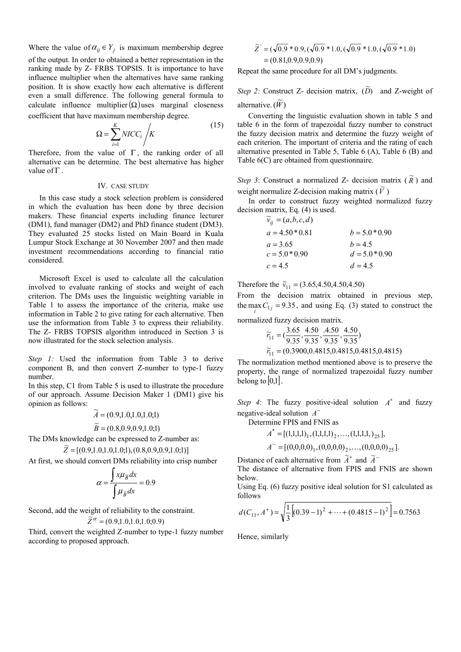Where the value of  $\alpha_{ij} \in Y_j$  is maximum membership degree of the output. In order to obtained a better representation in the ranking made by Z- FRBS TOPSIS. It is importance to have influence multiplier when the alternatives have same ranking position. It is show exactly how each alternative is different even a small difference. The following general formula to calculate influence multiplier $(\Omega)$  uses marginal closeness coefficient that have maximum membership degree.

$$
\Omega = \sum_{i=1}^{K} NICC_i / K \tag{15}
$$

Therefore, from the value of  $\Gamma$ , the ranking order of all alternative can be determine. The best alternative has higher value of  $\Gamma$ .

#### IV. CASE STUDY

In this case study a stock selection problem is considered in which the evaluation has been done by three decision makers. These financial experts including finance lecturer (DM1), fund manager (DM2) and PhD finance student (DM3). They evaluated 25 stocks listed on Main Board in Kuala Lumpur Stock Exchange at 30 November 2007 and then made investment recommendations according to financial ratio considered.

Microsoft Excel is used to calculate all the calculation involved to evaluate ranking of stocks and weight of each criterion. The DMs uses the linguistic weighting variable in Table 1 to assess the importance of the criteria, make use information in Table 2 to give rating for each alternative. Then use the information from Table 3 to express their reliability. The Z- FRBS TOPSIS algorithm introduced in Section 3 is now illustrated for the stock selection analysis.

*Step 1:* Used the information from Table 3 to derive component B, and then convert Z-number to type-1 fuzzy number.

In this step, C1 from Table 5 is used to illustrate the procedure of our approach. Assume Decision Maker 1 (DM1) give his opinion as follows:

 $\widetilde{A} = (0.9, 1.0, 1.0, 1.0; 1)$  $\widetilde{B} = (0.8, 0.9, 0.9, 1.0; 1)$ 

The DMs knowledge can be expressed to Z-number as:

$$
\widetilde{Z} = [(0.9, 1.0, 1.0, 1.0, 1), (0.8, 0.9, 0.9, 1.0, 1)]
$$

At first, we should convert DMs reliability into crisp number

$$
\alpha = \frac{\int x \mu_{\widetilde{B}} dx}{\int \mu_{\widetilde{B}} dx} = 0.9
$$

Second, add the weight of reliability to the constraint.

$$
\widetilde{Z}^{\alpha} = (0.9, 1.0, 1.0, 1.0, 0.9)
$$

Third, convert the weighted Z-number to type-1 fuzzy number according to proposed approach.

$$
\widetilde{Z}' = (\sqrt{0.9} * 0.9, (\sqrt{0.9} * 1.0, (\sqrt{0.9} * 1.0, (\sqrt{0.9} * 1.0))
$$
  
= (0.81,0.9,0.9,0.9)

Repeat the same procedure for all DM's judgments.

*Step 2:* Construct Z- decision matrix,  $(\widetilde{D})$  and Z-weight of alternative.  $(\widetilde{W})$ 

Converting the linguistic evaluation shown in table 5 and table 6 in the form of trapezoidal fuzzy number to construct the fuzzy decision matrix and determine the fuzzy weight of each criterion. The important of criteria and the rating of each alternative presented in Table 5, Table 6 (A), Table 6 (B) and Table 6(C) are obtained from questionnaire.

*Step 3*: Construct a normalized Z- decision matrix  $(\widetilde{R})$  and weight normalize Z-decision making matrix  $(\tilde{V})$ 

In order to construct fuzzy weighted normalized fuzzy decision matrix, Eq. (4) is used.

| $\widetilde{v}_{ii} = (a, b, c, d)$ |                  |
|-------------------------------------|------------------|
| $a = 4.50 * 0.81$                   | $b = 5.0 * 0.90$ |
| $a = 3.65$                          | $b = 4.5$        |
| $c = 5.0 * 0.90$                    | $d = 5.0 * 0.90$ |
| $c = 4.5$                           | $d = 4.5$        |

Therefore the  $\tilde{v}_{11} = (3.65, 4.50, 4.50, 4.50)$ 

From the decision matrix obtained in previous step, the max  $C_{1j} = 9.35$ , and using Eq. (3) stated to construct the

normalized fuzzy decision matrix.

$$
\widetilde{r}_{11} = \left(\frac{3.65}{9.35}, \frac{4.50}{9.35}, \frac{4.50}{9.35}, \frac{4.50}{9.35}\right)
$$
  

$$
\widetilde{r}_{11} = (0.3900, 0.4815, 0.4815, 0.4815, 0.4815)
$$

The normalization method mentioned above is to preserve the property, the range of normalized trapezoidal fuzzy number belong to  $|0,1|$ .

*Step 4*: The fuzzy positive-ideal solution  $A^*$  and fuzzy negative-ideal solution *A*<sup>−</sup>

Determine FPIS and FNIS as

$$
A^* = [(1,1,1,1), (1,1,1,1), \ldots, (1,1,1,1,1), \ldots],
$$

$$
A^- = [(0,0,0,0)_1, (0,0,0,0)_2, \ldots, (0,0,0,0)_2]
$$

Distance of each alternative from  $\tilde{A}^*$  and  $\tilde{A}^-$ 

The distance of alternative from FPIS and FNIS are shown below.

Using Eq. (6) fuzzy positive ideal solution for S1 calculated as follows

$$
d(C_{11}, A^+) = \sqrt{\frac{1}{3} \left[ (0.39 - 1)^2 + \dots + (0.4815 - 1)^2 \right]} = 0.7563
$$

Hence, similarly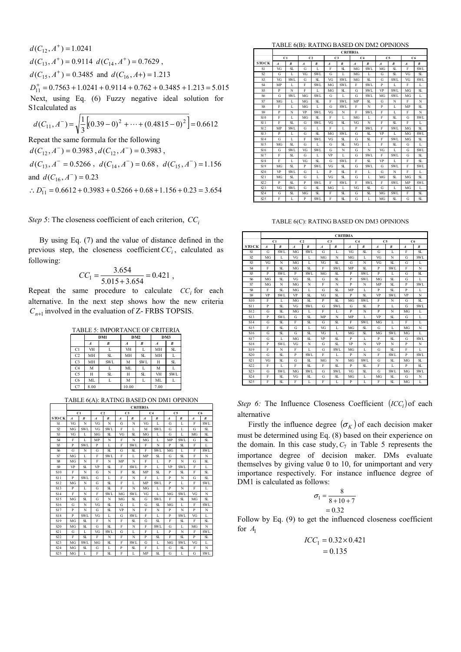$$
d(C_{12}, A^+) = 1.0241
$$
  
\n
$$
d(C_{13}, A^+) = 0.9114 \ d(C_{14}, A^+) = 0.7629
$$
,  
\n
$$
d(C_{15}, A^+) = 0.3485 \text{ and } d(C_{16}, A+) = 1.213
$$
  
\n
$$
D_{11}^+ = 0.7563 + 1.0241 + 0.9114 + 0.762 + 0.3485 + 1.213 = 5.015
$$
  
\nNext, using Eq. (6) Fuzzy negative ideal solution for  
\nSlcalculated as  
\n
$$
d(C_{11}, A^-) = \sqrt{\frac{1}{3} \left[ (0.39 - 0)^2 + \dots + (0.4815 - 0)^2 \right]} = 0.6612
$$
  
\n**Proof the same formula for the following**

Repeat the same formula for the following  $d(C_{12}, A^{-}) = 0.3983$ ,  $d(C_{12}, A^{-}) = 0.3983$ ,

 $d(C_{13}, A^- = 0.5266, d(C_{14}, A^-) = 0.68, d(C_{15}, A^-) = 1.156$ and  $d(C_{16}, A^{-}) = 0.23$ 

$$
\therefore D_{11}^- = 0.6612 + 0.3983 + 0.5266 + 0.68 + 1.156 + 0.23 = 3.654
$$

*Step 5*: The closeness coefficient of each criterion,  $CC_i$ 

By using Eq. (7) and the value of distance defined in the previous step, the closeness coefficient  $CC_i$ , calculated as following:

$$
CC_1 = \frac{3.654}{5.015 + 3.654} = 0.421
$$
,

Repeat the same procedure to calculate  $CC<sub>i</sub>$  for each alternative. In the next step shows how the new criteria  $C_{n+1}$  involved in the evaluation of Z- FRBS TOPSIS.

TABLE 5: IMPORTANCE OF CRITERIA *A B ABAB* C1 VH L VH L MH SL C2 MH SL MH SL MH L C3 MH SWL M SWL H SL C4 M L ML L M L C5 H SL H SL VH SWL C6 ML L M L ML L **DM1 DM2 DM3**

C7 8.00 10.00 7.00

TABLE 6(A): RATING BASED ON DM1 OPINION

|                |                  | <b>CRITERIA</b>      |                  |                  |                  |                  |                  |                  |                  |                  |                  |                  |  |
|----------------|------------------|----------------------|------------------|------------------|------------------|------------------|------------------|------------------|------------------|------------------|------------------|------------------|--|
|                |                  | C1<br>C <sub>2</sub> |                  | C <sub>3</sub>   |                  | C <sub>4</sub>   |                  | C5               |                  | C6               |                  |                  |  |
| <b>STOCK</b>   | $\boldsymbol{A}$ | $\boldsymbol{B}$     | $\boldsymbol{A}$ | $\boldsymbol{B}$ | $\boldsymbol{A}$ | $\boldsymbol{B}$ | $\boldsymbol{A}$ | $\boldsymbol{R}$ | $\boldsymbol{A}$ | $\boldsymbol{B}$ | $\boldsymbol{A}$ | $\boldsymbol{B}$ |  |
| S1             | VG               | N                    | VG               | N                | G                | N                | VG <sub>1</sub>  | L                | G                | L                | F                | <b>SWL</b>       |  |
| S2             | MG               | SW <sub>L</sub>      | VG               | SWI.             | F                | L                | M                | SW <sub>L</sub>  | G                | L                | G                | SL.              |  |
| S3             | VG <sub>1</sub>  | L                    | MG               | SL               | VG               | SL               | MG               | L                | G                | L                | MG               | SL               |  |
| S <sub>4</sub> | F                | L                    | MP               | N                | F                | N                | MG               | L                | MP               | <b>SWL</b>       | G                | SL               |  |
| S5             | P                | SW <sub>L</sub>      | P                | L                | F                | SWI.             | F                | N                | P                | SL               | F                | L                |  |
| S6             | G                | N                    | G                | SL               | G                | SL               | F                | <b>SWL</b>       | MG               | L                | F                | <b>SWL</b>       |  |
| S7             | MG               | L                    | F                | SWI.             | F                | L                | MP               | SL               | G                | SL               | F                | N                |  |
| S8             | MG               | N                    | F                | N                | MP               | N                | F                | L                | P                | N                | G                | SL               |  |
| S9             | VP               | SL                   | VP               | SL               | F                | <b>SWL</b>       | P                | L                | VP               | <b>SWL</b>       | F                | L                |  |
| S10            | F                | N                    | G                | N                | F                | SL               | MP               | SL               | P                | SL.              | F                | SL               |  |
| S11            | P                | <b>SWL</b>           | G                | L                | F                | N                | F                | L                | P                | N                | G                | SL               |  |
| S12            | MG               | N                    | G                | SL.              | F                | L                | MP               | SW <sub>L</sub>  | P                | L                | F                | <b>SWL</b>       |  |
| S13            | P                | L                    | G                | SL               | F                | N                | MG               | L                | P                | N                | F                | L                |  |
| S14            | F                | N                    | F                | <b>SWL</b>       | MG               | <b>SWL</b>       | VG <sub>1</sub>  | L                | MG               | <b>SWL</b>       | VG               | N                |  |
| S15            | MG               | SL                   | G                | N                | MG               | SL.              | G                | <b>SWL</b>       | F                | <b>SL</b>        | MG               | SL               |  |
| S16            | G                | N                    | VG               | SL               | G                | L                | G                | SL               | MG               | L                | F                | <b>SWL</b>       |  |
| S17            | P                | N                    | G                | SL.              | VP               | N                | F                | N                | P                | N                | P                | N                |  |
| S18            | P                | SW <sub>L</sub>      | VG               | L                | G                | SWI.             | F                | L                | P                | <b>SWL</b>       | VG <sub>1</sub>  | L                |  |
| S19            | MG               | SL                   | F                | N                | F                | SL               | G                | SL               | F                | SL               | F                | SL               |  |
| S20            | MG               | SL.                  | G                | SL.              | F                | N                | F                | SW <sub>L</sub>  | G                | L                | MG               | N                |  |
| S21            | G                | L                    | VG               | <b>SWL</b>       | G                | L                | F                | L                | P                | N                | F                | <b>SWL</b>       |  |
| S22            | F                | SL.                  | F                | N                | F                | N                | P                | SL.              | F                | $\mathbf{S}$     | P                | SL.              |  |
| S23            | MG               | <b>SWL</b>           | MG               | SL               | F                | <b>SWL</b>       | G                | L                | MG               | <b>SWL</b>       | VG               | L                |  |
| S24            | MG               | SL                   | G                | L                | P                | SL               | F                | L                | G                | SL               | F                | N                |  |
| S25            | MG               | L                    | F                | SL.              | F                | L                | MP               | SL.              | G                | L                | G                | SW <sub>L</sub>  |  |

TABLE 6(B): RATING BASED ON DM2 OPINIONS

|                | <b>CRITERIA</b>  |                  |                                  |                       |                  |                  |                  |                       |                  |                  |                  |                  |
|----------------|------------------|------------------|----------------------------------|-----------------------|------------------|------------------|------------------|-----------------------|------------------|------------------|------------------|------------------|
|                | C1               |                  | C <sub>2</sub><br>C <sub>3</sub> |                       |                  |                  | C <sub>4</sub>   |                       | C5               |                  | C6               |                  |
| <b>STOCK</b>   | $\boldsymbol{A}$ | $\boldsymbol{B}$ | $\boldsymbol{A}$                 | $\boldsymbol{B}$      | $\boldsymbol{A}$ | $\boldsymbol{B}$ | $\boldsymbol{A}$ | $\boldsymbol{B}$      | $\boldsymbol{A}$ | $\boldsymbol{B}$ | $\boldsymbol{A}$ | $\boldsymbol{B}$ |
| S1             | VG <sub>1</sub>  | SL.              | G                                | L                     | F                | Я.               | MG               | SWI.                  | MG               | SL.              | F                | SW <sub>L</sub>  |
| S2             | G                | L                | VG                               | <b>SWL</b>            | G                | L                | MG               | L                     | G                | SL               | VG               | SL               |
| S <sub>3</sub> | VG               | SWI.             | G                                | SI.                   | VG               | SW <sub>L</sub>  | MG               | $\overline{\rm SI}$ . | G                | SW <sub>L</sub>  | VG <sub>1</sub>  | SW <sub>L</sub>  |
| S <sub>4</sub> | MP               | L                | F                                | <b>SWL</b>            | MG               | SW <sub>L</sub>  | F                | <b>SWL</b>            | P                | L                | F                | L                |
| S5             | P                | N                | F                                | L                     | MG               | SL               | G                | <b>SWL</b>            | VP               | <b>SWL</b>       | MG               | SL               |
| S6             | G                | <b>SWL</b>       | MG                               | <b>SWL</b>            | G                | L                | G                | SWI.                  | MG               | SW <sub>L</sub>  | MG               | L                |
| S7             | MG               | L                | MG                               | SL                    | F                | <b>SWL</b>       | MP               | SL                    | G                | N                | F                | N                |
| S8             | F                | L                | MG                               | L                     | G                | SW <sub>L</sub>  | F                | N                     | P                | L                | MP               | SL.              |
| S9             | P                | N                | VP                               | <b>SWL</b>            | VG               | N                | F                | SW <sub>L</sub>       | F                | L                | F                | N                |
| S10            | F                | L                | MG                               | SL                    | F                | L                | MG               | L                     | F                | SL               | G                | <b>SWL</b>       |
| S11            | F                | SL.              | G                                | SW <sub>L</sub>       | VG               | Я.               | VG <sub>1</sub>  | N                     | F                | SL.              | F                | L                |
| S12            | MP               | SW <sub>L</sub>  | G                                | L                     | F                | L                | P                | SW <sub>L</sub>       | F                | SW <sub>L</sub>  | MG               | SL.              |
| S13            | P                | L                | G                                | SL                    | MG               | <b>SWL</b>       | G                | SL                    | VP               | L                | MG               | <b>SWL</b>       |
| S14            | G                | L                | F                                | SW <sub>L</sub>       | VG               | Я.               | G                | $\overline{\rm SI}$ . | F                | SW <sub>L</sub>  | MG               | SL               |
| S15            | MG               | SL.              | G                                | L                     | G                | Я.               | <b>VG</b>        | L                     | F                | SL.              | G                | L                |
| S16            | G                | SW <sub>L</sub>  | VG                               | <b>SWL</b>            | G                | N                | G                | N                     | VG               | L                | G                | SW <sub>L</sub>  |
| S17            | F                | SL.              | G                                | L                     | VP               | L                | G                | SW <sub>L</sub>       | F                | SW <sub>L</sub>  | G                | SL.              |
| S18            | F                | L                | VG                               | SL.                   | G                | SW <sub>L</sub>  | F                | $\overline{\rm SI}$ . | VP               | L                | F                | SL.              |
| S19            | MG               | SL.              | P                                | SW <sub>L</sub>       | VG               | SL.              | G                | SWI.                  | G                | SW <sub>L</sub>  | F                | <b>SWL</b>       |
| S20            | VP               | SWI.             | G                                | L                     | P                | Я.               | F                | L                     | G                | N                | F                | L                |
| S2.1           | MG               | SI.              | G                                | L                     | VG               | Я.               | G                | L                     | MG               | SL.              | MG               | SL.              |
| S22            | P                | SL.              | P                                | <b>SWL</b>            | F                | <b>SWL</b>       | F                | <b>SWL</b>            | F                | <b>SWL</b>       | MP               | <b>SWL</b>       |
| S23            | VG <sub>1</sub>  | SWI.             | G                                | SL                    | MG               | L                | VG               | SL                    | G                | L                | MG               | L                |
| S24            | G                | SL               | MG                               | $\overline{\rm SI}$ . | F                | Я.               | G                | SI.                   | MG               | SW <sub>L</sub>  | F                | SL               |
| S25            | F                | L                | P                                | <b>SWL</b>            | F                | SL               | G                | L                     | MG               | SL               | G                | SL               |

TABLE 6(C): RATING BASED ON DM3 OPINIONS

|                | <b>CRITERIA</b>      |                  |                  |                       |                  |                       |                  |                  |                |                       |                |                  |
|----------------|----------------------|------------------|------------------|-----------------------|------------------|-----------------------|------------------|------------------|----------------|-----------------------|----------------|------------------|
|                | C <sub>2</sub><br>C1 |                  |                  |                       | C <sub>3</sub>   |                       | C <sub>4</sub>   |                  | C <sub>5</sub> |                       | C6             |                  |
| <b>STOCK</b>   | $\boldsymbol{A}$     | $\boldsymbol{B}$ | $\boldsymbol{A}$ | $\boldsymbol{R}$      | $\boldsymbol{A}$ | $\boldsymbol{B}$      | $\boldsymbol{A}$ | $\boldsymbol{B}$ | $\overline{A}$ | $\boldsymbol{B}$      | $\overline{A}$ | $\boldsymbol{B}$ |
| S1             | G                    | SW <sub>L</sub>  | MG               | SWI.                  | G                | L                     | VG               | SL.              | G              | L                     | F              | SL.              |
| S2             | MG                   | L                | VG               | L                     | MG               | N                     | MG               | L                | VG             | N                     | G              | <b>SWL</b>       |
| S3             | <b>VG</b>            | N                | MG               | L                     | <b>VG</b>        | SL                    | G                | N                | <b>VG</b>      | SL                    | G              | L                |
| S <sub>4</sub> | F                    | SL               | MG               | SL                    | F                | <b>SWL</b>            | MP               | SL.              | P              | <b>SWL</b>            | F              | N                |
| S5             | P                    | SW <sub>L</sub>  | P                | SWI.                  | MG               | $\overline{\rm SI}$ . | P                | SW <sub>L</sub>  | P              | L                     | G              | SL.              |
| S6             | MG                   | SL.              | VG <sub>1</sub>  | $\overline{\rm SI}$ . | G                | $\overline{\rm SI}$ . | P                | <b>SWL</b>       | MG             | $\overline{\rm SI}$ . | G              | L                |
| S7             | MG                   | N                | MG               | N                     | F                | N                     | P                | N                | MP             | SL                    | P              | <b>SWL</b>       |
| S8             | F                    | SL.              | MG               | L                     | G                | <b>SL</b>             | MP               | L                | P              | SL.                   | P              | L                |
| S <sub>9</sub> | VP                   | <b>SWL</b>       | <b>VP</b>        | SL                    | <b>VG</b>        | SL                    | P                | SL               | VP             | <b>SWL</b>            | VP             | N                |
| S10            | F                    | L                | MG               | SL                    | P                | SL                    | MG               | <b>SWL</b>       | F              | N                     | G              | SL               |
| S11            | P                    | SL               | VG               | SWI.                  | G                | SWI.                  | G                | SL               | P              | L                     | G              | SW <sub>L</sub>  |
| S12            | G                    | SL.              | MG               | L                     | F                | L                     | P                | N                | P              | N                     | MG             | L                |
| S13            | P                    | SW <sub>L</sub>  | G                | $\overline{\rm SI}$ . | MP               | N                     | MP               | L                | VP             | $\overline{\rm SI}$ . | G              | L                |
| S14            | G                    | SL.              | F                | $\overline{\rm SI}$ . | G                | $\overline{\rm SI}$ . | F                | SW <sub>L</sub>  | MG             | L                     | F              | L                |
| S15            | F                    | SL.              | G                | L                     | <b>VG</b>        | L                     | MG               | SL.              | G              | L                     | MG             | N                |
| S16            | G                    | SL               | G                | SL                    | VG               | L                     | MG               | SL               | MG             | <b>SWL</b>            | MG             | L                |
| S17            | G                    | L                | MG               | SL                    | VP               | SL                    | $\mathbf{P}$     | L                | P              | SL                    | G              | <b>SWL</b>       |
| S18            | P                    | <b>SWL</b>       | VG               | N                     | G                | SL                    | VP               | N                | VP             | N                     | P              | N                |
| S19            | F                    | N                | F                | L                     | G                | SWI.                  | MG               | L                | G              | SL.                   | F              | L                |
| S20            | G                    | SL.              | $\mathbf{P}$     | SWI.                  | F                | L                     | P                | N                | F              | SW <sub>L</sub>       | P              | SW <sub>L</sub>  |
| S21            | <b>VG</b>            | SL.              | G                | $\overline{\rm SI}$ . | MG               | N                     | MG               | SW <sub>L</sub>  | G              | $\overline{\rm SI}$ . | MG             | SL.              |
| S22            | F                    | L                | F                | $\overline{\rm SI}$ . | F                | $\overline{\rm SI}$ . | P                | SL.              | F              | L                     | P              | SL.              |
| S23            | G                    | <b>SWL</b>       | MG               | <b>SWL</b>            | G                | <b>SWL</b>            | VG <sub>1</sub>  | SL               | G              | <b>SWL</b>            | MG             | <b>SWL</b>       |
| S24            | F                    | SL               | VG               | SL                    | G                | SL                    | MG               | L                | MG             | SL                    | G              | N                |
| S2.5           | F                    | SL               | F                | L                     | F                | L                     | P                | L                | F              | SL.                   | MG             | L                |

*Step 6:* The Influence Closeness Coefficient  $(ICC_i)$  of each alternative

Firstly the influence degree  $(\sigma_K)$  of each decision maker must be determined using Eq. (8) based on their experience on the domain. In this case study,  $C_7$  in Table 5 represents the importance degree of decision maker. DMs evaluate themselves by giving value 0 to 10, for unimportant and very importance respectively. For instance influence degree of DM1 is calculated as follows:

$$
\sigma_1 = \frac{8}{8 + 10 + 7}
$$

$$
= 0.32
$$

Follow by Eq. (9) to get the influenced closeness coefficient for  $A_1$ 

$$
ICC_1 = 0.32 \times 0.421
$$

$$
= 0.135
$$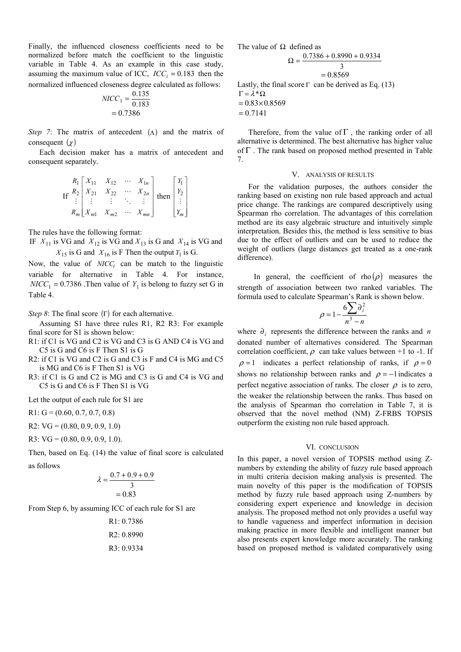Finally, the influenced closeness coefficients need to be normalized before match the coefficient to the linguistic variable in Table 4. As an example in this case study, assuming the maximum value of ICC,  $ICC_i = 0.183$  then the normalized influenced closeness degree calculated as follows:

$$
NICC_1 = \frac{0.135}{0.183}
$$
  
= 0.7386

*Step 7*: The matrix of antecedent  $(\Lambda)$  and the matrix of consequent  $(y)$ 

Each decision maker has a matrix of antecedent and consequent separately.

$$
\begin{array}{ccc} R_1 \begin{bmatrix} X_{11} & X_{12} & \cdots & X_{1n} \\ X_{21} & X_{22} & \cdots & X_{2n} \\ \vdots & \vdots & \vdots & \ddots & \vdots \\ X_{m1} & X_{m2} & \cdots & X_{mn} \end{bmatrix} \text{ then } \begin{bmatrix} Y_1 \\ Y_2 \\ \vdots \\ Y_m \end{bmatrix} \end{array}
$$

The rules have the following format:

IF  $X_{11}$  is VG and  $X_{12}$  is VG and  $X_{13}$  is G and  $X_{14}$  is VG and  $X_{15}$  is G and  $X_{16}$  is F Then the output  $Y_1$  is G.

Now, the value of  $NICC_i$  can be match to the linguistic variable for alternative in Table 4. For instance,  $NICC_1 = 0.7386$ . Then value of  $Y_1$  is belong to fuzzy set G in Table 4.

*Step 8*: The final score  $( \Gamma )$  for each alternative.

Assuming S1 have three rules R1, R2 R3: For example final score for S1 is shown below:

R1: if C1 is VG and C2 is VG and C3 is G AND C4 is VG and C5 is G and C6 is F Then S1 is G

R2: if C1 is VG and C2 is G and C3 is F and C4 is MG and C5 is MG and C6 is F Then S1 is VG

R3: if C1 is G and C2 is MG and C3 is G and C4 is VG and C5 is G and C6 is F Then S1 is VG

Let the output of each rule for S1 are

 $R1: G = (0.60, 0.7, 0.7, 0.8)$ 

R2:  $VG = (0.80, 0.9, 0.9, 1.0)$ 

R3:  $VG = (0.80, 0.9, 0.9, 1.0)$ .

Then, based on Eq. (14) the value of final score is calculated as follows

$$
\lambda = \frac{0.7 + 0.9 + 0.9}{3}
$$
  
= 0.83

From Step 6, by assuming ICC of each rule for S1 are

R1: 0.7386 R2: 0.8990 R3: 0.9334 The value of  $\Omega$  defined as

$$
\Omega = \frac{0.7386 + 0.8990 + 0.9334}{3}
$$
  
= 0.8569  
Lastly, the final score  $\Gamma$  can be derived as Eq. (13)

 $Γ = λ * Ω$  $= 0.83 \times 0.8569$ 

 $= 0.7141$ 

Therefore, from the value of  $\Gamma$ , the ranking order of all alternative is determined. The best alternative has higher value of Γ . The rank based on proposed method presented in Table 7.

# V. ANALYSIS OF RESULTS

For the validation purposes, the authors consider the ranking based on existing non rule based approach and actual price change. The rankings are compared descriptively using Spearman rho correlation. The advantages of this correlation method are its easy algebraic structure and intuitively simple interpretation. Besides this, the method is less sensitive to bias due to the effect of outliers and can be used to reduce the weight of outliers (large distances get treated as a one-rank difference).

In general, the coefficient of rho  $(\rho)$  measures the strength of association between two ranked variables. The formula used to calculate Spearman's Rank is shown below.

$$
\rho = 1 - \frac{6\sum \partial_i^2}{n^3 - n}
$$

where  $\partial_i$  represents the difference between the ranks and *n* donated number of alternatives considered. The Spearman correlation coefficient,  $\rho$  can take values between +1 to -1. If  $\rho = 1$  indicates a perfect relationship of ranks, if  $\rho = 0$ shows no relationship between ranks and  $\rho = -1$  indicates a perfect negative association of ranks. The closer  $\rho$  is to zero, the weaker the relationship between the ranks. Thus based on the analysis of Spearman rho correlation in Table 7, it is observed that the novel method (NM) Z-FRBS TOPSIS outperform the existing non rule based approach.

#### VI. CONCLUSION

In this paper, a novel version of TOPSIS method using Znumbers by extending the ability of fuzzy rule based approach in multi criteria decision making analysis is presented. The main novelty of this paper is the modification of TOPSIS method by fuzzy rule based approach using Z-numbers by considering expert experience and knowledge in decision analysis. The proposed method not only provides a useful way to handle vagueness and imperfect information in decision making practice in more flexible and intelligent manner but also presents expert knowledge more accurately. The ranking based on proposed method is validated comparatively using